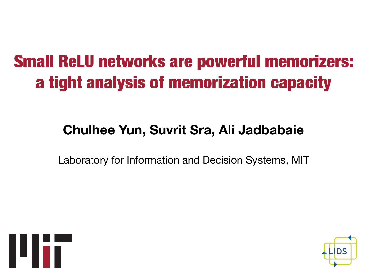## Small ReLU networks are powerful memorizers: a tight analysis of memorization capacity

## **Chulhee Yun, Suvrit Sra, Ali Jadbabaie**

Laboratory for Information and Decision Systems, MIT



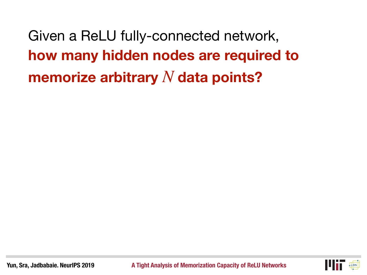Given a ReLU fully-connected network, **how many hidden nodes are required to memorize arbitrary** *N* **data points?**

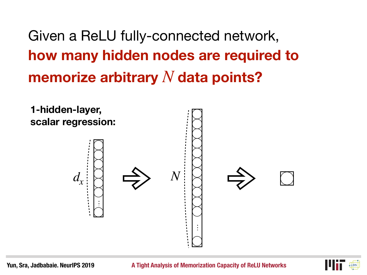## Given a ReLU fully-connected network, **how many hidden nodes are required to memorize arbitrary** *N* **data points?**



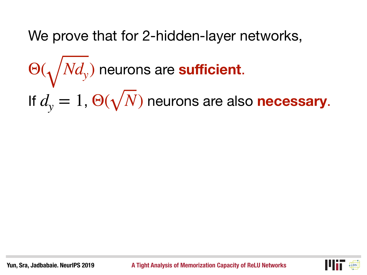We prove that for 2-hidden-layer networks,

 neurons are **sufficient**. If  $d_v = 1$ ,  $\Theta(\sqrt{N})$  neurons are also **necessary**.  $\Theta(\sqrt{Nd_y})$  $d_{\rm y} = 1$ ,  $\Theta(\sqrt{N})$ 

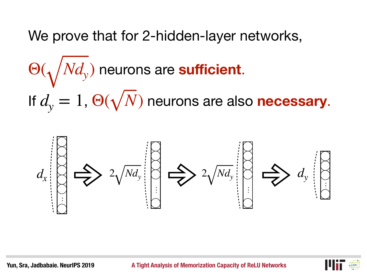We prove that for 2-hidden-layer networks,

 neurons are **sufficient**. If  $d_v = 1$ ,  $\Theta(\sqrt{N})$  neurons are also **necessary**.  $\Theta(\sqrt{Nd_y})$  $d_{\rm y} = 1$ ,  $\Theta(\sqrt{N})$ 



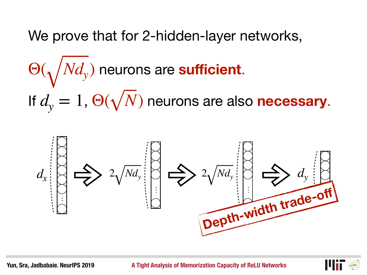We prove that for 2-hidden-layer networks,

 neurons are **sufficient**. If  $d_v = 1$ ,  $\Theta(\sqrt{N})$  neurons are also **necessary**.  $\Theta(\sqrt{Nd_y})$  $d_{\rm y} = 1$ ,  $\Theta(\sqrt{N})$ 



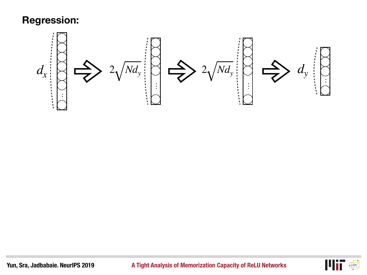

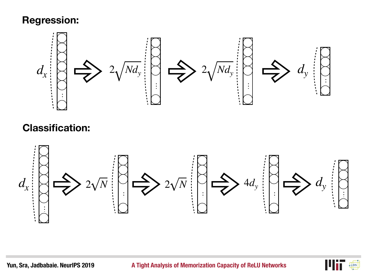

#### **Classification:**



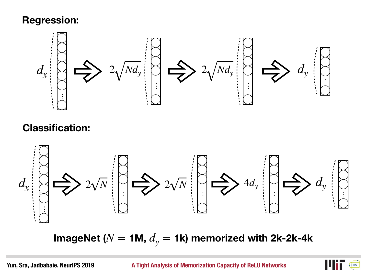

#### **Classification:**



<code>ImageNet</code> ( $N =$  1M,  $d_{\mathrm{y}} =$  1k) memorized with 2k-2k-4k

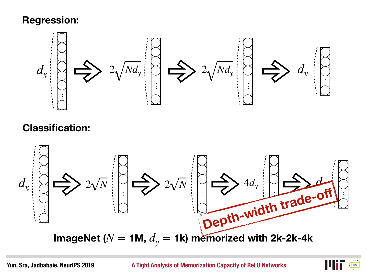

#### **Classification:**



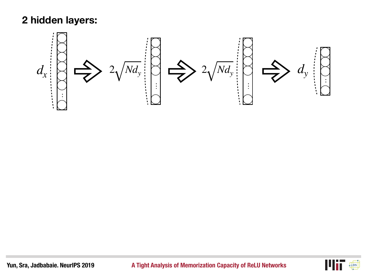#### **2 hidden layers:**



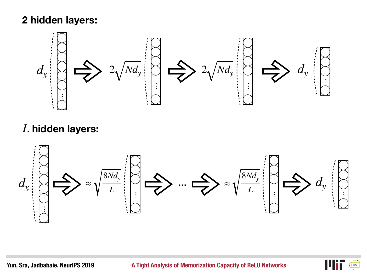#### **2 hidden layers:**



#### *L* **hidden layers:**



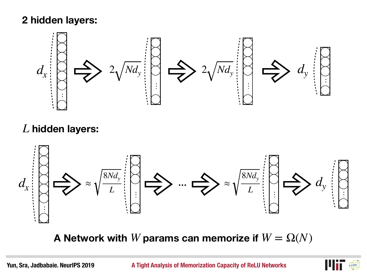#### **2 hidden layers:**



#### *L* **hidden layers:**



**A Network with** *W* **params can memorize if**  $W = \Omega(N)$ 

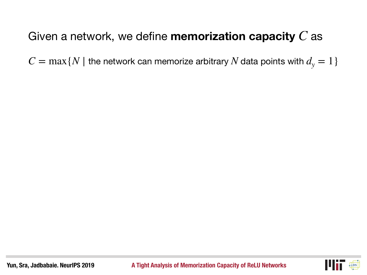$C = \max\{N \mid \text{the network can memorize arbitrary } N \text{ data points with } d_{\text{y}} = 1\}$ 

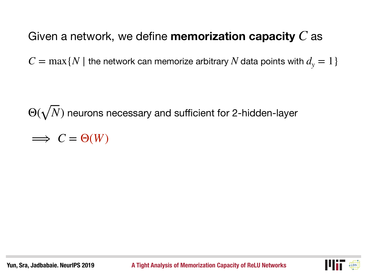$C = \max\{N \mid \text{the network can memorize arbitrary } N \text{ data points with } d_{\text{y}} = 1\}$ 

 $\Theta(\sqrt{N})$  neurons necessary and sufficient for 2-hidden-layer

 $\implies C = \Theta(W)$ 

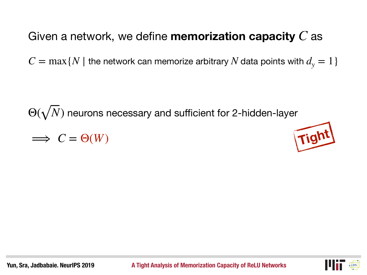$C = \max\{N \mid \text{the network can memorize arbitrary } N \text{ data points with } d_{\text{y}} = 1\}$ 

 $\Theta(\sqrt{N})$  neurons necessary and sufficient for 2-hidden-layer

 $\implies C = \Theta(W)$ 





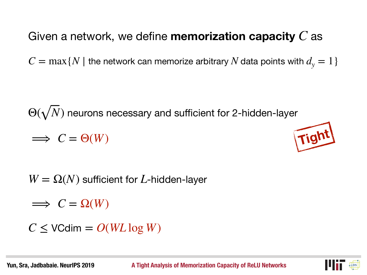$C = \max\{N \mid \text{the network can memorize arbitrary } N \text{ data points with } d_{\text{y}} = 1\}$ 

 $\Theta(\sqrt{N})$  neurons necessary and sufficient for 2-hidden-layer  $\implies C = \Theta(W)$ 



 $W = \Omega(N)$  sufficient for *L*-hidden-layer

 $\implies C = \Omega(W)$ 

$$
C \leq \text{VCdim} = O(WL \log W)
$$

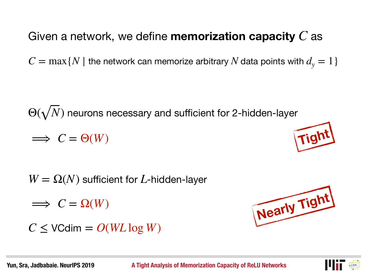$C = \max\{N \mid \text{the network can memorize arbitrary } N \text{ data points with } d_{\text{y}} = 1\}$ 

 $\Theta(\sqrt{N})$  neurons necessary and sufficient for 2-hidden-layer  $\implies C = \Theta(W)$ 

 $W = \Omega(N)$  sufficient for *L*-hidden-layer

 $\implies C = \Omega(W)$ 

 $C \leq V$ Cdim =  $O(WL \log W)$